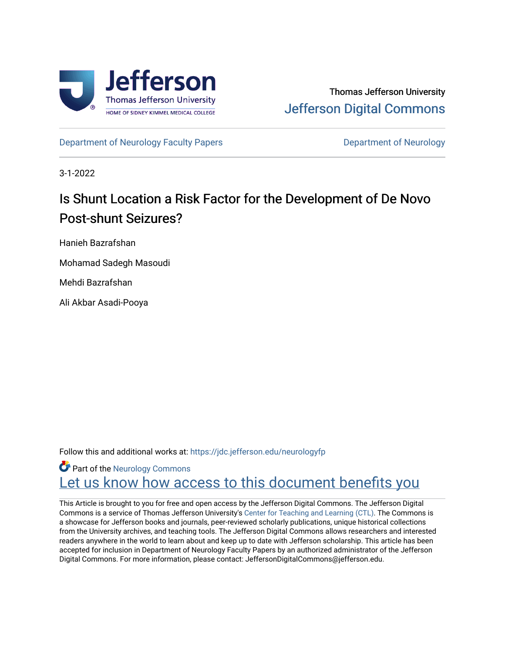

[Department of Neurology Faculty Papers](https://jdc.jefferson.edu/neurologyfp) **Department of Neurology** 

3-1-2022

# Is Shunt Location a Risk Factor for the Development of De Novo Post-shunt Seizures?

Hanieh Bazrafshan

Mohamad Sadegh Masoudi

Mehdi Bazrafshan

Ali Akbar Asadi-Pooya

Follow this and additional works at: [https://jdc.jefferson.edu/neurologyfp](https://jdc.jefferson.edu/neurologyfp?utm_source=jdc.jefferson.edu%2Fneurologyfp%2F278&utm_medium=PDF&utm_campaign=PDFCoverPages) 

**Part of the [Neurology Commons](http://network.bepress.com/hgg/discipline/692?utm_source=jdc.jefferson.edu%2Fneurologyfp%2F278&utm_medium=PDF&utm_campaign=PDFCoverPages)** Let us know how access to this document benefits you

This Article is brought to you for free and open access by the Jefferson Digital Commons. The Jefferson Digital Commons is a service of Thomas Jefferson University's [Center for Teaching and Learning \(CTL\)](http://www.jefferson.edu/university/teaching-learning.html/). The Commons is a showcase for Jefferson books and journals, peer-reviewed scholarly publications, unique historical collections from the University archives, and teaching tools. The Jefferson Digital Commons allows researchers and interested readers anywhere in the world to learn about and keep up to date with Jefferson scholarship. This article has been accepted for inclusion in Department of Neurology Faculty Papers by an authorized administrator of the Jefferson Digital Commons. For more information, please contact: JeffersonDigitalCommons@jefferson.edu.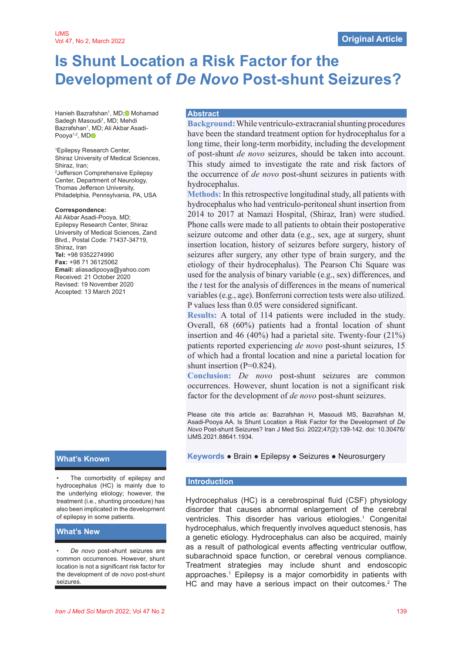# **Is Shunt Location a Risk Factor for the Development of** *De Novo* **Post-shunt Seizures?**

Hanieh Bazrafshan<sup>1</sup>, MD;<sup>®</sup> Mohamad Sadegh Masoudi<sup>1</sup>, MD; Mehdi Bazrafshan<sup>1</sup>, MD; Ali Akbar Asadi-Pooya<sup>1,2</sup>, M[D](https://orcid.org/0000-0002-2598-7601)<sub>o</sub>

1 Epilepsy Research Center, Shiraz University of Medical Sciences, Shiraz, Iran; 2 Jefferson Comprehensive Epilepsy Center, Department of Neurology, Thomas Jefferson University, Philadelphia, Pennsylvania, PA, USA

#### **Correspondence:**

Ali Akbar Asadi-Pooya, MD; Epilepsy Research Center, Shiraz University of Medical Sciences, Zand Blvd., Postal Code: 71437-34719, Shiraz, Iran **Tel:** +98 9352274990 **Fax:** +98 71 36125062 **Email:** aliasadipooya@yahoo.com Received: 21 October 2020 Revised: 19 November 2020 Accepted: 13 March 2021

The comorbidity of epilepsy and hydrocephalus (HC) is mainly due to the underlying etiology; however, the treatment (i.e., shunting procedure) has also been implicated in the development of epilepsy in some patients.

### **What's New**

*• De novo* post-shunt seizures are common occurrences. However, shunt location is not a significant risk factor for the development of *de novo* post-shunt seizures.

#### **Abstract**

**Background:** While ventriculo-extracranial shunting procedures have been the standard treatment option for hydrocephalus for a long time, their long-term morbidity, including the development of post-shunt *de novo* seizures, should be taken into account. This study aimed to investigate the rate and risk factors of the occurrence of *de novo* post-shunt seizures in patients with hydrocephalus.

**Methods:** In this retrospective longitudinal study, all patients with hydrocephalus who had ventriculo-peritoneal shunt insertion from 2014 to 2017 at Namazi Hospital, (Shiraz, Iran) were studied. Phone calls were made to all patients to obtain their postoperative seizure outcome and other data (e.g., sex, age at surgery, shunt insertion location, history of seizures before surgery, history of seizures after surgery, any other type of brain surgery, and the etiology of their hydrocephalus). The Pearson Chi Square was used for the analysis of binary variable (e.g., sex) differences, and the *t* test for the analysis of differences in the means of numerical variables (e.g., age). Bonferroni correction tests were also utilized. P values less than 0.05 were considered significant.

**Results:** A total of 114 patients were included in the study. Overall, 68 (60%) patients had a frontal location of shunt insertion and 46 (40%) had a parietal site. Twenty-four (21%) patients reported experiencing *de novo* post-shunt seizures, 15 of which had a frontal location and nine a parietal location for shunt insertion  $(P=0.824)$ .

**Conclusion:** *De novo* post-shunt seizures are common occurrences. However, shunt location is not a significant risk factor for the development of *de novo* post-shunt seizures.

Please cite this article as: Bazrafshan H, Masoudi MS, Bazrafshan M, Asadi-Pooya AA. Is Shunt Location a Risk Factor for the Development of *De Novo* Post-shunt Seizures? Iran J Med Sci. 2022;47(2):139-142. doi: 10.30476/ IJMS.2021.88641.1934.

# **What's Known Keywords** ● **Brain ● Epilepsy ● Seizures ● Neurosurgery**

#### **Introduction**

Hydrocephalus (HC) is a cerebrospinal fluid (CSF) physiology disorder that causes abnormal enlargement of the cerebral ventricles. This disorder has various etiologies.<sup>1</sup> Congenital hydrocephalus, which frequently involves aqueduct stenosis, has a genetic etiology. Hydrocephalus can also be acquired, mainly as a result of pathological events affecting ventricular outflow, subarachnoid space function, or cerebral venous compliance. Treatment strategies may include shunt and endoscopic approaches.1 Epilepsy is a major comorbidity in patients with HC and may have a serious impact on their outcomes.<sup>2</sup> The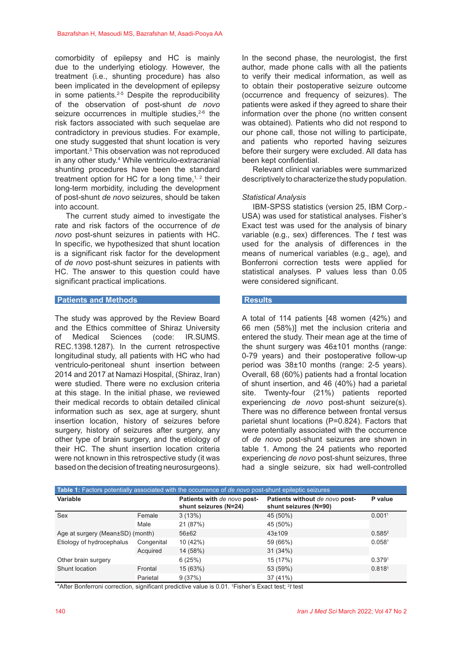comorbidity of epilepsy and HC is mainly due to the underlying etiology. However, the treatment (i.e., shunting procedure) has also been implicated in the development of epilepsy in some patients.2-5 Despite the reproducibility of the observation of post-shunt *de novo* seizure occurrences in multiple studies. $2-6$  the risk factors associated with such sequelae are contradictory in previous studies. For example, one study suggested that shunt location is very important.3 This observation was not reproduced in any other study.4 While ventriculo-extracranial shunting procedures have been the standard treatment option for HC for a long time, $1, 2$  their long-term morbidity, including the development of post-shunt *de novo* seizures, should be taken into account.

The current study aimed to investigate the rate and risk factors of the occurrence of *de novo* post-shunt seizures in patients with HC. In specific, we hypothesized that shunt location is a significant risk factor for the development of *de novo* post-shunt seizures in patients with HC. The answer to this question could have significant practical implications.

#### **Patients and Methods**

The study was approved by the Review Board and the Ethics committee of Shiraz University of Medical Sciences (code: IR.SUMS. REC.1398.1287). In the current retrospective longitudinal study, all patients with HC who had ventriculo-peritoneal shunt insertion between 2014 and 2017 at Namazi Hospital, (Shiraz, Iran) were studied. There were no exclusion criteria at this stage. In the initial phase, we reviewed their medical records to obtain detailed clinical information such as sex, age at surgery, shunt insertion location, history of seizures before surgery, history of seizures after surgery, any other type of brain surgery, and the etiology of their HC. The shunt insertion location criteria were not known in this retrospective study (it was based on the decision of treating neurosurgeons). In the second phase, the neurologist, the first author, made phone calls with all the patients to verify their medical information, as well as to obtain their postoperative seizure outcome (occurrence and frequency of seizures). The patients were asked if they agreed to share their information over the phone (no written consent was obtained). Patients who did not respond to our phone call, those not willing to participate, and patients who reported having seizures before their surgery were excluded. All data has been kept confidential.

Relevant clinical variables were summarized descriptively to characterize the study population.

### *Statistical Analysis*

IBM-SPSS statistics (version 25, IBM Corp.- USA) was used for statistical analyses. Fisher's Exact test was used for the analysis of binary variable (e.g., sex) differences. The *t* test was used for the analysis of differences in the means of numerical variables (e.g., age), and Bonferroni correction tests were applied for statistical analyses. P values less than 0.05 were considered significant.

#### **Results**

A total of 114 patients [48 women (42%) and 66 men (58%)] met the inclusion criteria and entered the study. Their mean age at the time of the shunt surgery was 46±101 months (range: 0-79 years) and their postoperative follow-up period was 38±10 months (range: 2-5 years). Overall, 68 (60%) patients had a frontal location of shunt insertion, and 46 (40%) had a parietal site. Twenty-four (21%) patients reported experiencing *de novo* post-shunt seizure(s). There was no difference between frontal versus parietal shunt locations (P=0.824). Factors that were potentially associated with the occurrence of *de novo* post-shunt seizures are shown in table 1. Among the 24 patients who reported experiencing *de novo* post-shunt seizures, three had a single seizure, six had well-controlled

| Table 1: Factors potentially associated with the occurrence of de novo post-shunt epileptic seizures |            |                                                      |                                                         |                    |
|------------------------------------------------------------------------------------------------------|------------|------------------------------------------------------|---------------------------------------------------------|--------------------|
| Variable                                                                                             |            | Patients with de novo post-<br>shunt seizures (N=24) | Patients without de novo post-<br>shunt seizures (N=90) | P value            |
| Sex                                                                                                  | Female     | 3(13%)                                               | 45 (50%)                                                | 0.001 <sup>1</sup> |
|                                                                                                      | Male       | 21 (87%)                                             | 45 (50%)                                                |                    |
| Age at surgery (Mean±SD) (month)                                                                     |            | $56 \pm 62$                                          | $43 \pm 109$                                            | $0.585^{2}$        |
| Etiology of hydrocephalus                                                                            | Congenital | 10 (42%)                                             | 59 (66%)                                                | 0.058 <sup>1</sup> |
|                                                                                                      | Acquired   | 14 (58%)                                             | 31(34%)                                                 |                    |
| Other brain surgery                                                                                  |            | 6(25%)                                               | 15 (17%)                                                | 0.3791             |
| Shunt location                                                                                       | Frontal    | 15 (63%)                                             | 53 (59%)                                                | 0.8181             |
|                                                                                                      | Parietal   | 9(37%)                                               | 37 (41%)                                                |                    |

\*After Bonferroni correction, significant predictive value is 0.01. 1 Fisher's Exact test; 2 *t* test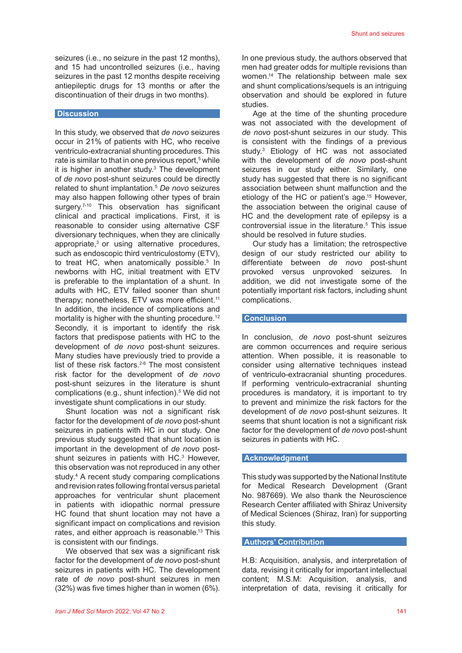seizures (i.e., no seizure in the past 12 months), and 15 had uncontrolled seizures (i.e., having seizures in the past 12 months despite receiving antiepileptic drugs for 13 months or after the discontinuation of their drugs in two months).

#### **Discussion**

In this study, we observed that *de novo* seizures occur in 21% of patients with HC, who receive ventriculo-extracranial shunting procedures. This rate is similar to that in one previous report,<sup>5</sup> while it is higher in another study.<sup>3</sup> The development of *de novo* post-shunt seizures could be directly related to shunt implantation.5 *De novo* seizures may also happen following other types of brain surgery.<sup>7-10</sup> This observation has significant clinical and practical implications. First, it is reasonable to consider using alternative CSF diversionary techniques, when they are clinically appropriate,<sup>3</sup> or using alternative procedures, such as endoscopic third ventriculostomy (ETV), to treat HC, when anatomically possible.<sup>5</sup> In newborns with HC, initial treatment with ETV is preferable to the implantation of a shunt. In adults with HC, ETV failed sooner than shunt therapy; nonetheless, ETV was more efficient.<sup>11</sup> In addition, the incidence of complications and mortality is higher with the shunting procedure.<sup>12</sup> Secondly, it is important to identify the risk factors that predispose patients with HC to the development of *de novo* post-shunt seizures. Many studies have previously tried to provide a list of these risk factors.<sup>2-6</sup> The most consistent risk factor for the development of *de novo* post-shunt seizures in the literature is shunt complications (e.g., shunt infection).<sup>5</sup> We did not investigate shunt complications in our study.

Shunt location was not a significant risk factor for the development of *de novo* post-shunt seizures in patients with HC in our study. One previous study suggested that shunt location is important in the development of *de novo* postshunt seizures in patients with HC.<sup>3</sup> However, this observation was not reproduced in any other study.4 A recent study comparing complications and revision rates following frontal versus parietal approaches for ventricular shunt placement in patients with idiopathic normal pressure HC found that shunt location may not have a significant impact on complications and revision rates, and either approach is reasonable.<sup>13</sup> This is consistent with our findings.

We observed that sex was a significant risk factor for the development of *de novo* post-shunt seizures in patients with HC. The development rate of *de novo* post-shunt seizures in men (32%) was five times higher than in women (6%). In one previous study, the authors observed that men had greater odds for multiple revisions than women.14 The relationship between male sex and shunt complications/sequels is an intriguing observation and should be explored in future studies.

Age at the time of the shunting procedure was not associated with the development of *de novo* post-shunt seizures in our study. This is consistent with the findings of a previous study.3 Etiology of HC was not associated with the development of *de novo* post-shunt seizures in our study either. Similarly, one study has suggested that there is no significant association between shunt malfunction and the etiology of the HC or patient's age.<sup>15</sup> However, the association between the original cause of HC and the development rate of epilepsy is a controversial issue in the literature.<sup>5</sup> This issue should be resolved in future studies.

Our study has a limitation; the retrospective design of our study restricted our ability to differentiate between *de novo* post-shunt provoked versus unprovoked seizures. In addition, we did not investigate some of the potentially important risk factors, including shunt complications.

# **Conclusion**

In conclusion, *de novo* post-shunt seizures are common occurrences and require serious attention. When possible, it is reasonable to consider using alternative techniques instead of ventriculo-extracranial shunting procedures. If performing ventriculo-extracranial shunting procedures is mandatory, it is important to try to prevent and minimize the risk factors for the development of *de novo* post-shunt seizures. It seems that shunt location is not a significant risk factor for the development of *de novo* post-shunt seizures in patients with HC.

#### **Acknowledgment**

This study was supported by the National Institute for Medical Research Development (Grant No. 987669). We also thank the Neuroscience Research Center affiliated with Shiraz University of Medical Sciences (Shiraz, Iran) for supporting this study.

## **Authors' Contribution**

H.B: Acquisition, analysis, and interpretation of data, revising it critically for important intellectual content; M.S.M: Acquisition, analysis, and interpretation of data, revising it critically for